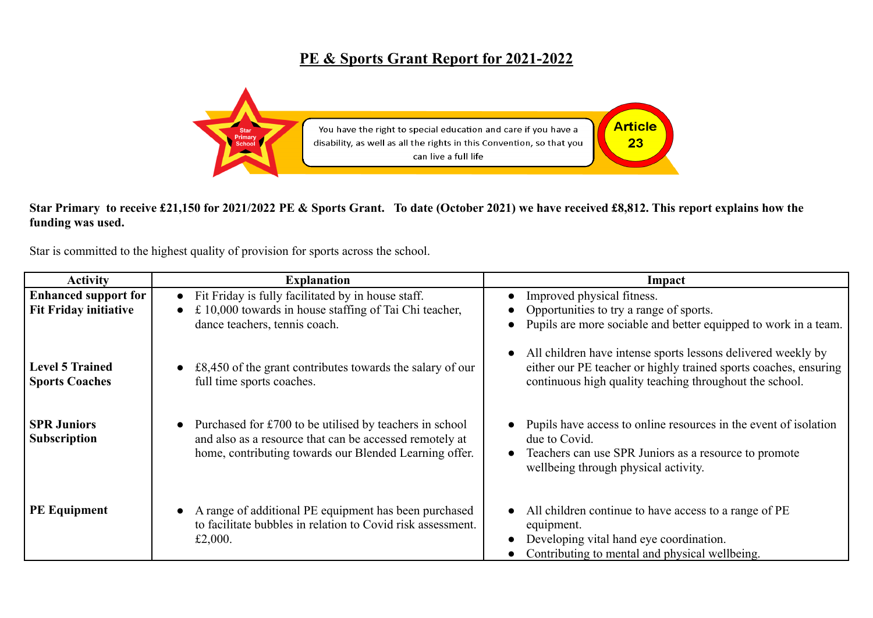## **PE & Sports Grant Report for 2021-2022**



## **Star Primary to receive £21,150 for 2021/2022 PE & Sports Grant. To date (October 2021) we have received £8,812. This report explains how the funding was used.**

Star is committed to the highest quality of provision for sports across the school.

| <b>Activity</b>                                             | <b>Explanation</b>                                                                                                                                                           | Impact                                                                                                                                                                                      |
|-------------------------------------------------------------|------------------------------------------------------------------------------------------------------------------------------------------------------------------------------|---------------------------------------------------------------------------------------------------------------------------------------------------------------------------------------------|
| <b>Enhanced support for</b><br><b>Fit Friday initiative</b> | • Fit Friday is fully facilitated by in house staff.<br>£ 10,000 towards in house staffing of Tai Chi teacher,                                                               | Improved physical fitness.<br>Opportunities to try a range of sports.                                                                                                                       |
|                                                             | dance teachers, tennis coach.                                                                                                                                                | Pupils are more sociable and better equipped to work in a team.                                                                                                                             |
| <b>Level 5 Trained</b><br><b>Sports Coaches</b>             | $£8,450$ of the grant contributes towards the salary of our<br>full time sports coaches.                                                                                     | All children have intense sports lessons delivered weekly by<br>either our PE teacher or highly trained sports coaches, ensuring<br>continuous high quality teaching throughout the school. |
| <b>SPR Juniors</b><br><b>Subscription</b>                   | Purchased for £700 to be utilised by teachers in school<br>and also as a resource that can be accessed remotely at<br>home, contributing towards our Blended Learning offer. | Pupils have access to online resources in the event of isolation<br>due to Covid.<br>Teachers can use SPR Juniors as a resource to promote<br>wellbeing through physical activity.          |
| <b>PE Equipment</b>                                         | A range of additional PE equipment has been purchased<br>to facilitate bubbles in relation to Covid risk assessment.<br>£2,000.                                              | All children continue to have access to a range of PE<br>equipment.<br>Developing vital hand eye coordination.<br>Contributing to mental and physical wellbeing.                            |